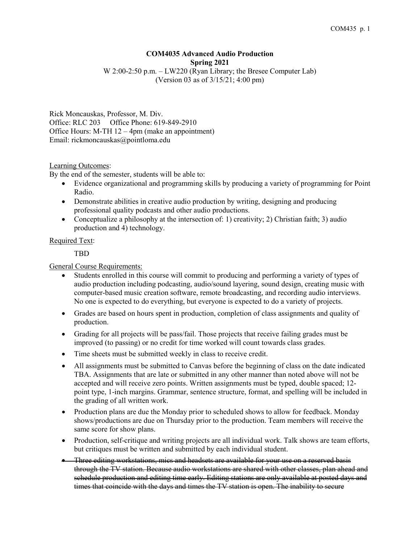# **COM4035 Advanced Audio Production Spring 2021** W 2:00-2:50 p.m. – LW220 (Ryan Library; the Bresee Computer Lab)

(Version 03 as of 3/15/21; 4:00 pm)

Rick Moncauskas, Professor, M. Div. Office: RLC 203 Office Phone: 619-849-2910 Office Hours: M-TH 12 – 4pm (make an appointment) Email: rickmoncauskas@pointloma.edu

### Learning Outcomes:

By the end of the semester, students will be able to:

- Evidence organizational and programming skills by producing a variety of programming for Point Radio.
- Demonstrate abilities in creative audio production by writing, designing and producing professional quality podcasts and other audio productions.
- Conceptualize a philosophy at the intersection of: 1) creativity; 2) Christian faith; 3) audio production and 4) technology.

# Required Text:

TBD

# General Course Requirements:

- Students enrolled in this course will commit to producing and performing a variety of types of audio production including podcasting, audio/sound layering, sound design, creating music with computer-based music creation software, remote broadcasting, and recording audio interviews. No one is expected to do everything, but everyone is expected to do a variety of projects.
- Grades are based on hours spent in production, completion of class assignments and quality of production.
- Grading for all projects will be pass/fail. Those projects that receive failing grades must be improved (to passing) or no credit for time worked will count towards class grades.
- Time sheets must be submitted weekly in class to receive credit.
- All assignments must be submitted to Canvas before the beginning of class on the date indicated TBA. Assignments that are late or submitted in any other manner than noted above will not be accepted and will receive zero points. Written assignments must be typed, double spaced; 12 point type, 1-inch margins. Grammar, sentence structure, format, and spelling will be included in the grading of all written work.
- Production plans are due the Monday prior to scheduled shows to allow for feedback. Monday shows/productions are due on Thursday prior to the production. Team members will receive the same score for show plans.
- Production, self-critique and writing projects are all individual work. Talk shows are team efforts, but critiques must be written and submitted by each individual student.
- Three editing workstations, mics and headsets are available for your use on a reserved basis through the TV station. Because audio workstations are shared with other classes, plan ahead and schedule production and editing time early. Editing stations are only available at posted days and times that coincide with the days and times the TV station is open. The inability to secure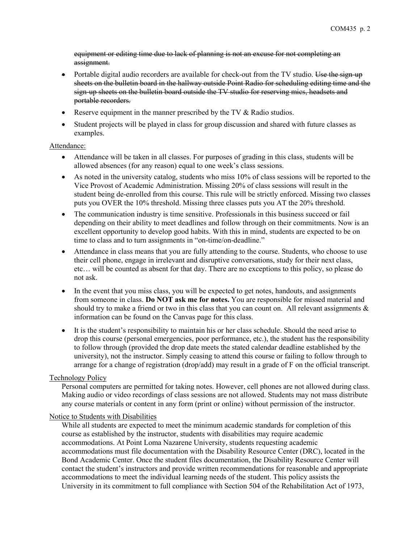equipment or editing time due to lack of planning is not an excuse for not completing an assignment.

- Portable digital audio recorders are available for check-out from the TV studio. Use the sign-up sheets on the bulletin board in the hallway outside Point Radio for scheduling editing time and the sign-up sheets on the bulletin board outside the TV studio for reserving mics, headsets and portable recorders.
- Reserve equipment in the manner prescribed by the TV & Radio studios.
- Student projects will be played in class for group discussion and shared with future classes as examples.

### Attendance:

- Attendance will be taken in all classes. For purposes of grading in this class, students will be allowed absences (for any reason) equal to one week's class sessions.
- As noted in the university catalog, students who miss 10% of class sessions will be reported to the Vice Provost of Academic Administration. Missing 20% of class sessions will result in the student being de-enrolled from this course. This rule will be strictly enforced. Missing two classes puts you OVER the 10% threshold. Missing three classes puts you AT the 20% threshold.
- The communication industry is time sensitive. Professionals in this business succeed or fail depending on their ability to meet deadlines and follow through on their commitments. Now is an excellent opportunity to develop good habits. With this in mind, students are expected to be on time to class and to turn assignments in "on-time/on-deadline."
- Attendance in class means that you are fully attending to the course. Students, who choose to use their cell phone, engage in irrelevant and disruptive conversations, study for their next class, etc… will be counted as absent for that day. There are no exceptions to this policy, so please do not ask.
- In the event that you miss class, you will be expected to get notes, handouts, and assignments from someone in class. **Do NOT ask me for notes.** You are responsible for missed material and should try to make a friend or two in this class that you can count on. All relevant assignments  $\&$ information can be found on the Canvas page for this class.
- It is the student's responsibility to maintain his or her class schedule. Should the need arise to drop this course (personal emergencies, poor performance, etc.), the student has the responsibility to follow through (provided the drop date meets the stated calendar deadline established by the university), not the instructor. Simply ceasing to attend this course or failing to follow through to arrange for a change of registration (drop/add) may result in a grade of F on the official transcript.

### Technology Policy

Personal computers are permitted for taking notes. However, cell phones are not allowed during class. Making audio or video recordings of class sessions are not allowed. Students may not mass distribute any course materials or content in any form (print or online) without permission of the instructor.

### Notice to Students with Disabilities

While all students are expected to meet the minimum academic standards for completion of this course as established by the instructor, students with disabilities may require academic accommodations. At Point Loma Nazarene University, students requesting academic accommodations must file documentation with the Disability Resource Center (DRC), located in the Bond Academic Center. Once the student files documentation, the Disability Resource Center will contact the student's instructors and provide written recommendations for reasonable and appropriate accommodations to meet the individual learning needs of the student. This policy assists the University in its commitment to full compliance with Section 504 of the Rehabilitation Act of 1973,